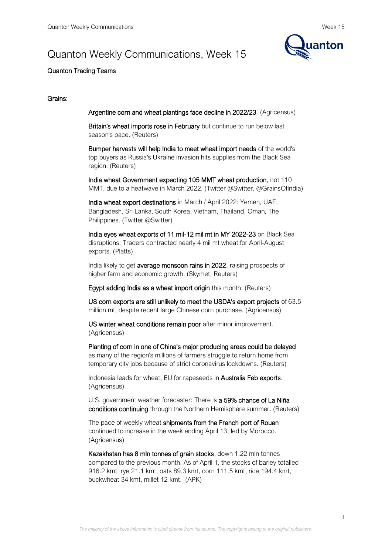# Quanton Weekly Communications, Week 15



## Quanton Trading Teams

## Grains:

Argentine corn and wheat plantings face decline in 2022/23. (Agricensus)

Britain's wheat imports rose in February but continue to run below last season's pace. (Reuters)

Bumper harvests will help India to meet wheat import needs of the world's top buyers as Russia's Ukraine invasion hits supplies from the Black Sea region. (Reuters)

India wheat Government expecting 105 MMT wheat production, not 110 MMT, due to a heatwave in March 2022. (Twitter @Switter, @GrainsOfIndia)

India wheat export destinations in March / April 2022: Yemen, UAE, Bangladesh, Sri Lanka, South Korea, Vietnam, Thailand, Oman, The Philippines. (Twitter @Switter)

India eyes wheat exports of 11 mil-12 mil mt in MY 2022-23 on Black Sea disruptions. Traders contracted nearly 4 mil mt wheat for April-August exports. (Platts)

India likely to get average monsoon rains in 2022, raising prospects of higher farm and economic growth. (Skymet, Reuters)

Egypt adding India as a wheat import origin this month. (Reuters)

US corn exports are still unlikely to meet the USDA's export projects of 63.5 million mt, despite recent large Chinese corn purchase. (Agricensus)

US winter wheat conditions remain poor after minor improvement. (Agricensus)

Planting of corn in one of China's major producing areas could be delayed as many of the region's millions of farmers struggle to return home from temporary city jobs because of strict coronavirus lockdowns. (Reuters)

Indonesia leads for wheat, EU for rapeseeds in Australia Feb exports. (Agricensus)

U.S. government weather forecaster: There is a 59% chance of La Niña conditions continuing through the Northern Hemisphere summer. (Reuters)

The pace of weekly wheat shipments from the French port of Rouen continued to increase in the week ending April 13, led by Morocco. (Agricensus)

Kazakhstan has 8 mln tonnes of grain stocks, down 1.22 mln tonnes compared to the previous month. As of April 1, the stocks of barley totalled 916.2 kmt, rye 21.1 kmt, oats 89.3 kmt, corn 111.5 kmt, rice 194.4 kmt, buckwheat 34 kmt, millet 12 kmt. (APK)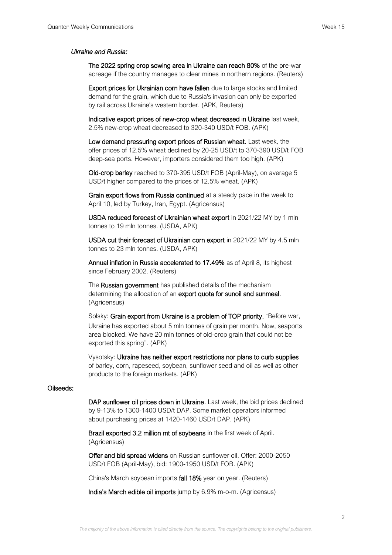#### *Ukraine and Russia:*

The 2022 spring crop sowing area in Ukraine can reach 80% of the pre-war acreage if the country manages to clear mines in northern regions. (Reuters)

Export prices for Ukrainian corn have fallen due to large stocks and limited demand for the grain, which due to Russia's invasion can only be exported by rail across Ukraine's western border. (APK, Reuters)

Indicative export prices of new-crop wheat decreased in Ukraine last week, 2.5% new-crop wheat decreased to 320-340 USD/t FOB. (APK)

Low demand pressuring export prices of Russian wheat. Last week, the offer prices of 12.5% wheat declined by 20-25 USD/t to 370-390 USD/t FOB deep-sea ports. However, importers considered them too high. (APK)

Old-crop barley reached to 370-395 USD/t FOB (April-May), on average 5 USD/t higher compared to the prices of 12.5% wheat. (APK)

Grain export flows from Russia continued at a steady pace in the week to April 10, led by Turkey, Iran, Egypt. (Agricensus)

USDA reduced forecast of Ukrainian wheat export in 2021/22 MY by 1 mln tonnes to 19 mln tonnes. (USDA, APK)

USDA cut their forecast of Ukrainian corn export in 2021/22 MY by 4.5 mln tonnes to 23 mln tonnes. (USDA, APK)

Annual inflation in Russia accelerated to 17.49% as of April 8, its highest since February 2002. (Reuters)

The **Russian government** has published details of the mechanism determining the allocation of an export quota for sunoil and sunmeal. (Agricensus)

Solsky: Grain export from Ukraine is a problem of TOP priority. "Before war, Ukraine has exported about 5 mln tonnes of grain per month. Now, seaports area blocked. We have 20 mln tonnes of old-crop grain that could not be exported this spring". (APK)

Vysotsky: Ukraine has neither export restrictions nor plans to curb supplies of barley, corn, rapeseed, soybean, sunflower seed and oil as well as other products to the foreign markets. (APK)

## Oilseeds:

DAP sunflower oil prices down in Ukraine. Last week, the bid prices declined by 9-13% to 1300-1400 USD/t DAP. Some market operators informed about purchasing prices at 1420-1460 USD/t DAP. (APK)

Brazil exported 3.2 million mt of soybeans in the first week of April. (Agricensus)

Offer and bid spread widens on Russian sunflower oil. Offer: 2000-2050 USD/t FOB (April-May), bid: 1900-1950 USD/t FOB. (APK)

China's March soybean imports fall 18% year on year. (Reuters)

India's March edible oil imports jump by 6.9% m-o-m. (Agricensus)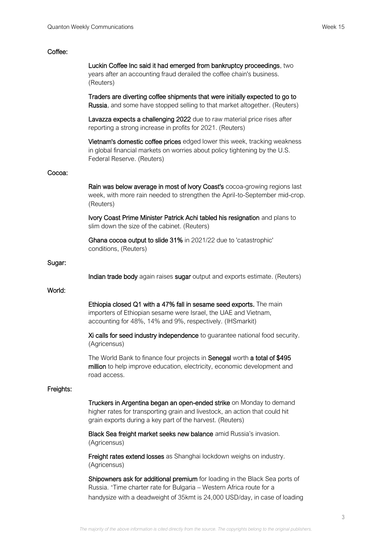## Coffee:

|           | Luckin Coffee Inc said it had emerged from bankruptcy proceedings, two<br>years after an accounting fraud derailed the coffee chain's business.<br>(Reuters)                                                     |
|-----------|------------------------------------------------------------------------------------------------------------------------------------------------------------------------------------------------------------------|
|           | Traders are diverting coffee shipments that were initially expected to go to<br>Russia, and some have stopped selling to that market altogether. (Reuters)                                                       |
|           | Lavazza expects a challenging 2022 due to raw material price rises after<br>reporting a strong increase in profits for 2021. (Reuters)                                                                           |
|           | Vietnam's domestic coffee prices edged lower this week, tracking weakness<br>in global financial markets on worries about policy tightening by the U.S.<br>Federal Reserve. (Reuters)                            |
| Cocoa:    |                                                                                                                                                                                                                  |
|           | Rain was below average in most of Ivory Coast's cocoa-growing regions last<br>week, with more rain needed to strengthen the April-to-September mid-crop.<br>(Reuters)                                            |
|           | Ivory Coast Prime Minister Patrick Achi tabled his resignation and plans to<br>slim down the size of the cabinet. (Reuters)                                                                                      |
|           | Ghana cocoa output to slide 31% in 2021/22 due to 'catastrophic'<br>conditions, (Reuters)                                                                                                                        |
| Sugar:    |                                                                                                                                                                                                                  |
|           | Indian trade body again raises sugar output and exports estimate. (Reuters)                                                                                                                                      |
| World:    |                                                                                                                                                                                                                  |
|           | Ethiopia closed Q1 with a 47% fall in sesame seed exports. The main<br>importers of Ethiopian sesame were Israel, the UAE and Vietnam,<br>accounting for 48%, 14% and 9%, respectively. (IHSmarkit)              |
|           | Xi calls for seed industry independence to guarantee national food security.<br>(Agricensus)                                                                                                                     |
|           | The World Bank to finance four projects in Senegal worth a total of \$495<br>million to help improve education, electricity, economic development and<br>road access.                                            |
| Freights: |                                                                                                                                                                                                                  |
|           | Truckers in Argentina began an open-ended strike on Monday to demand<br>higher rates for transporting grain and livestock, an action that could hit<br>grain exports during a key part of the harvest. (Reuters) |
|           | Black Sea freight market seeks new balance amid Russia's invasion.<br>(Agricensus)                                                                                                                               |
|           | Freight rates extend losses as Shanghai lockdown weighs on industry.<br>(Agricensus)                                                                                                                             |

Shipowners ask for additional premium for loading in the Black Sea ports of Russia. "Time charter rate for Bulgaria – Western Africa route for a handysize with a deadweight of 35kmt is 24,000 USD/day, in case of loading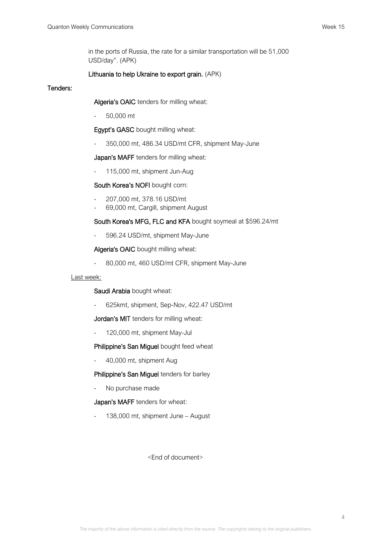in the ports of Russia, the rate for a similar transportation will be 51,000 USD/day". (APK)

## Lithuania to help Ukraine to export grain. (APK)

#### Tenders:

Algeria's OAIC tenders for milling wheat:

- 50,000 mt

Egypt's GASC bought milling wheat:

- 350,000 mt, 486.34 USD/mt CFR, shipment May-June

Japan's MAFF tenders for milling wheat:

- 115,000 mt, shipment Jun-Aug

## South Korea's NOFI bought corn:

- 207,000 mt, 378.16 USD/mt
- 69,000 mt, Cargill, shipment August

South Korea's MFG, FLC and KFA bought soymeal at \$596.24/mt

- 596.24 USD/mt, shipment May-June

Algeria's OAIC bought milling wheat:

- 80,000 mt, 460 USD/mt CFR, shipment May-June

## Last week:

Saudi Arabia bought wheat:

- 625kmt, shipment, Sep-Nov, 422.47 USD/mt

Jordan's MIT tenders for milling wheat:

- 120,000 mt, shipment May-Jul

Philippine's San Miguel bought feed wheat

- 40,000 mt, shipment Aug

Philippine's San Miguel tenders for barley

No purchase made

Japan's MAFF tenders for wheat:

138,000 mt, shipment June – August

<End of document>